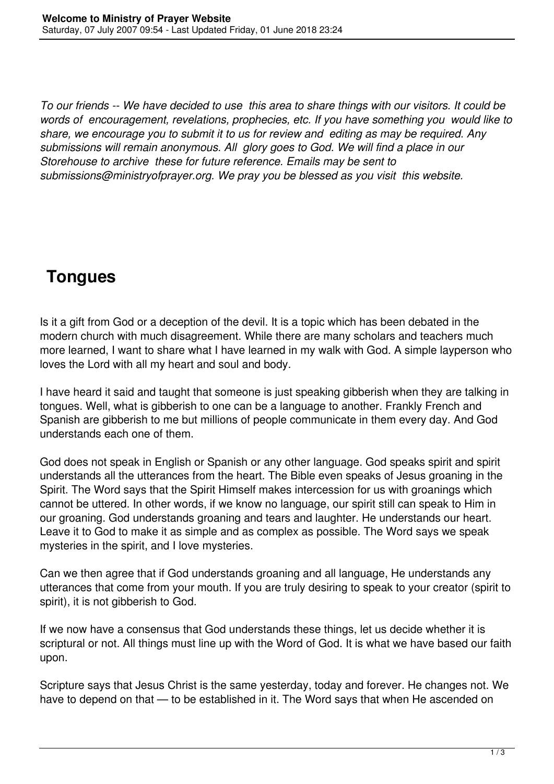*To our friends -- We have decided to use this area to share things with our visitors. It could be words of encouragement, revelations, prophecies, etc. If you have something you would like to share, we encourage you to submit it to us for review and editing as may be required. Any submissions will remain anonymous. All glory goes to God. We will find a place in our Storehouse to archive these for future reference. Emails may be sent to submissions@ministryofprayer.org. We pray you be blessed as you visit this website.*

## **Tongues**

Is it a gift from God or a deception of the devil. It is a topic which has been debated in the modern church with much disagreement. While there are many scholars and teachers much more learned, I want to share what I have learned in my walk with God. A simple layperson who loves the Lord with all my heart and soul and body.

I have heard it said and taught that someone is just speaking gibberish when they are talking in tongues. Well, what is gibberish to one can be a language to another. Frankly French and Spanish are gibberish to me but millions of people communicate in them every day. And God understands each one of them.

God does not speak in English or Spanish or any other language. God speaks spirit and spirit understands all the utterances from the heart. The Bible even speaks of Jesus groaning in the Spirit. The Word says that the Spirit Himself makes intercession for us with groanings which cannot be uttered. In other words, if we know no language, our spirit still can speak to Him in our groaning. God understands groaning and tears and laughter. He understands our heart. Leave it to God to make it as simple and as complex as possible. The Word says we speak mysteries in the spirit, and I love mysteries.

Can we then agree that if God understands groaning and all language, He understands any utterances that come from your mouth. If you are truly desiring to speak to your creator (spirit to spirit), it is not gibberish to God.

If we now have a consensus that God understands these things, let us decide whether it is scriptural or not. All things must line up with the Word of God. It is what we have based our faith upon.

Scripture says that Jesus Christ is the same yesterday, today and forever. He changes not. We have to depend on that — to be established in it. The Word says that when He ascended on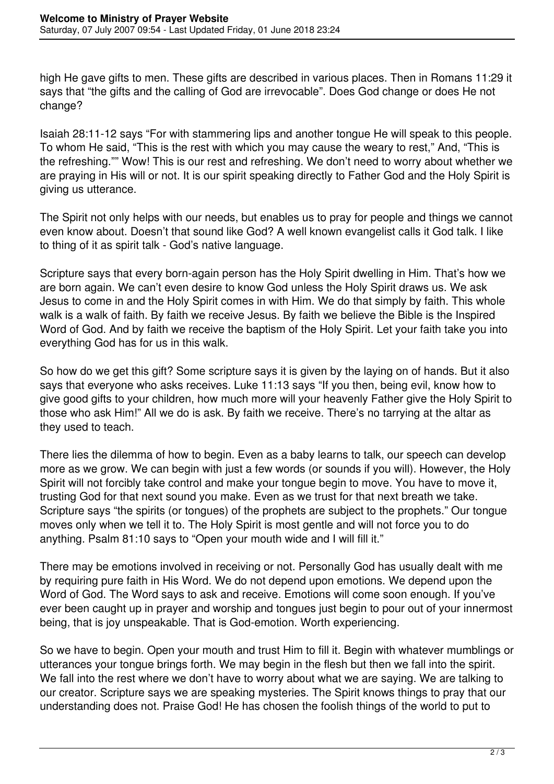high He gave gifts to men. These gifts are described in various places. Then in Romans 11:29 it says that "the gifts and the calling of God are irrevocable". Does God change or does He not change?

Isaiah 28:11-12 says "For with stammering lips and another tongue He will speak to this people. To whom He said, "This is the rest with which you may cause the weary to rest," And, "This is the refreshing."" Wow! This is our rest and refreshing. We don't need to worry about whether we are praying in His will or not. It is our spirit speaking directly to Father God and the Holy Spirit is giving us utterance.

The Spirit not only helps with our needs, but enables us to pray for people and things we cannot even know about. Doesn't that sound like God? A well known evangelist calls it God talk. I like to thing of it as spirit talk - God's native language.

Scripture says that every born-again person has the Holy Spirit dwelling in Him. That's how we are born again. We can't even desire to know God unless the Holy Spirit draws us. We ask Jesus to come in and the Holy Spirit comes in with Him. We do that simply by faith. This whole walk is a walk of faith. By faith we receive Jesus. By faith we believe the Bible is the Inspired Word of God. And by faith we receive the baptism of the Holy Spirit. Let your faith take you into everything God has for us in this walk.

So how do we get this gift? Some scripture says it is given by the laying on of hands. But it also says that everyone who asks receives. Luke 11:13 says "If you then, being evil, know how to give good gifts to your children, how much more will your heavenly Father give the Holy Spirit to those who ask Him!" All we do is ask. By faith we receive. There's no tarrying at the altar as they used to teach.

There lies the dilemma of how to begin. Even as a baby learns to talk, our speech can develop more as we grow. We can begin with just a few words (or sounds if you will). However, the Holy Spirit will not forcibly take control and make your tongue begin to move. You have to move it, trusting God for that next sound you make. Even as we trust for that next breath we take. Scripture says "the spirits (or tongues) of the prophets are subject to the prophets." Our tongue moves only when we tell it to. The Holy Spirit is most gentle and will not force you to do anything. Psalm 81:10 says to "Open your mouth wide and I will fill it."

There may be emotions involved in receiving or not. Personally God has usually dealt with me by requiring pure faith in His Word. We do not depend upon emotions. We depend upon the Word of God. The Word says to ask and receive. Emotions will come soon enough. If you've ever been caught up in prayer and worship and tongues just begin to pour out of your innermost being, that is joy unspeakable. That is God-emotion. Worth experiencing.

So we have to begin. Open your mouth and trust Him to fill it. Begin with whatever mumblings or utterances your tongue brings forth. We may begin in the flesh but then we fall into the spirit. We fall into the rest where we don't have to worry about what we are saving. We are talking to our creator. Scripture says we are speaking mysteries. The Spirit knows things to pray that our understanding does not. Praise God! He has chosen the foolish things of the world to put to